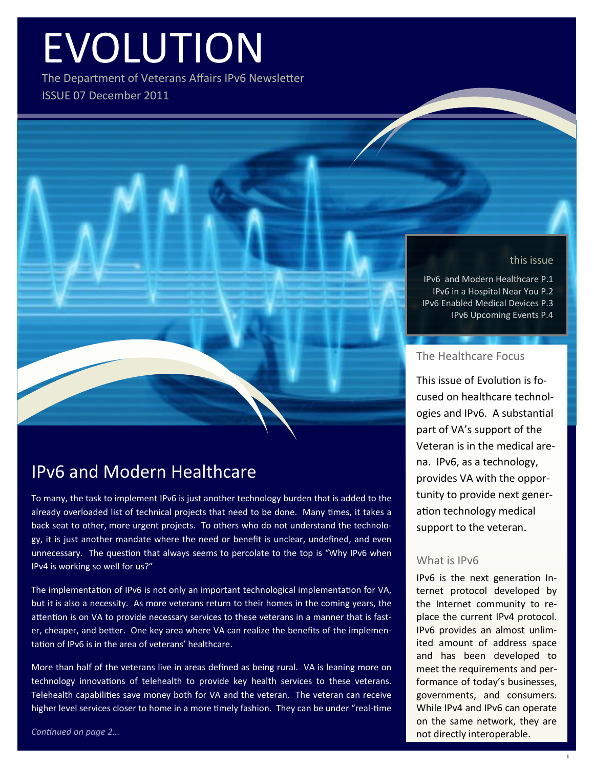# EVOLUTION

The Department of Veterans Affairs IPv6 Newsletter ISSUE 07 December 2011

#### this issue

IPv6 and Modern Healthcare P.1 IPv6 in a Hospital Near You P.2 IPv6 Enabled Medical Devices P.3 IPv6 Upcoming Events P.4

## The Healthcare Focus

This issue of Evolution is focused on healthcare technologies and IPv6. A substantial part of VA's support of the Veteran is in the medical arena. IPv6, as a technology, provides VA with the opportunity to provide next generation technology medical support to the veteran.

## What is IPv6

IPv6 is the next generation Internet protocol developed by the Internet community to replace the current IPv4 protocol. IPv6 provides an almost unlimited amount of address space and has been developed to meet the requirements and performance of today's businesses, governments, and consumers. While IPv4 and IPv6 can operate on the same network, they are not directly interoperable.

## IPv6 and Modern Healthcare

To many, the task to implement IPv6 is just another technology burden that is added to the already overloaded list of technical projects that need to be done. Many times, it takes a back seat to other, more urgent projects. To others who do not understand the technology, it is just another mandate where the need or benefit is unclear, undefined, and even unnecessary. The question that always seems to percolate to the top is "Why IPv6 when IPv4 is working so well for us?"

The implementation of IPv6 is not only an important technological implementation for VA, but it is also a necessity. As more veterans return to their homes in the coming years, the attention is on VA to provide necessary services to these veterans in a manner that is faster, cheaper, and better. One key area where VA can realize the benefits of the implementation of IPv6 is in the area of veterans' healthcare.

More than half of the veterans live in areas defined as being rural. VA is leaning more on technology innovations of telehealth to provide key health services to these veterans. Telehealth capabilities save money both for VA and the veteran. The veteran can receive higher level services closer to home in a more timely fashion. They can be under "real-time

*Continued on page 2...*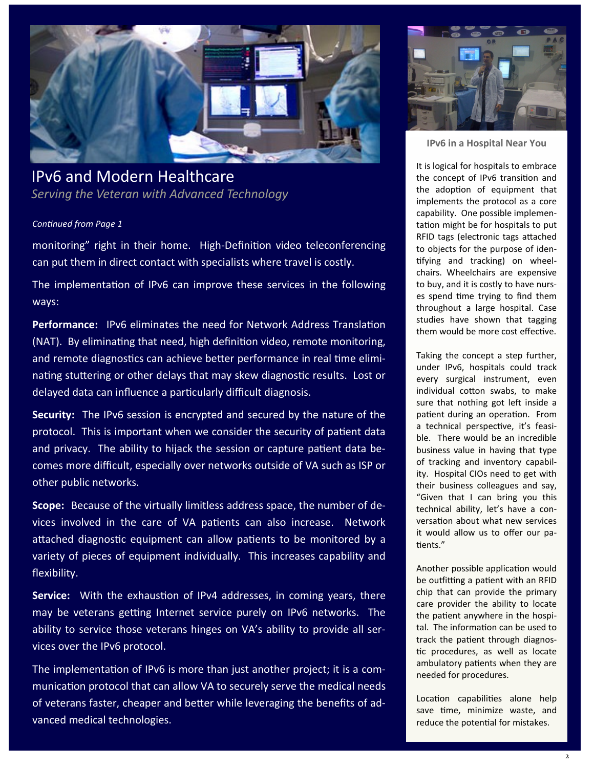

## IPv6 and Modern Healthcare *Serving the Veteran with Advanced Technology*

#### *Continued from Page 1*

monitoring" right in their home. High-Definition video teleconferencing can put them in direct contact with specialists where travel is costly.

The implementation of IPv6 can improve these services in the following ways:

**Performance:** IPv6 eliminates the need for Network Address Translation (NAT). By eliminating that need, high definition video, remote monitoring, and remote diagnostics can achieve better performance in real time eliminating stuttering or other delays that may skew diagnostic results. Lost or delayed data can influence a particularly difficult diagnosis.

**Security:** The IPv6 session is encrypted and secured by the nature of the protocol. This is important when we consider the security of patient data and privacy. The ability to hijack the session or capture patient data becomes more difficult, especially over networks outside of VA such as ISP or other public networks.

**Scope:** Because of the virtually limitless address space, the number of devices involved in the care of VA patients can also increase. Network attached diagnostic equipment can allow patients to be monitored by a variety of pieces of equipment individually. This increases capability and flexibility.

**Service:** With the exhaustion of IPv4 addresses, in coming years, there may be veterans getting Internet service purely on IPv6 networks. The ability to service those veterans hinges on VA's ability to provide all services over the IPv6 protocol.

The implementation of IPv6 is more than just another project; it is a communication protocol that can allow VA to securely serve the medical needs of veterans faster, cheaper and better while leveraging the benefits of advanced medical technologies.



**IPv6 in a Hospital Near You**

It is logical for hospitals to embrace the concept of IPv6 transition and the adoption of equipment that implements the protocol as a core capability. One possible implementation might be for hospitals to put RFID tags (electronic tags attached to objects for the purpose of identifying and tracking) on wheelchairs. Wheelchairs are expensive to buy, and it is costly to have nurses spend time trying to find them throughout a large hospital. Case studies have shown that tagging them would be more cost effective.

Taking the concept a step further, under IPv6, hospitals could track every surgical instrument, even individual cotton swabs, to make sure that nothing got left inside a patient during an operation. From a technical perspective, it's feasible. There would be an incredible business value in having that type of tracking and inventory capability. Hospital CIOs need to get with their business colleagues and say, "Given that I can bring you this technical ability, let's have a conversation about what new services it would allow us to offer our patients."

Another possible application would be outfitting a patient with an RFID chip that can provide the primary care provider the ability to locate the patient anywhere in the hospital. The information can be used to track the patient through diagnostic procedures, as well as locate ambulatory patients when they are needed for procedures.

Location capabilities alone help save time, minimize waste, and reduce the potential for mistakes.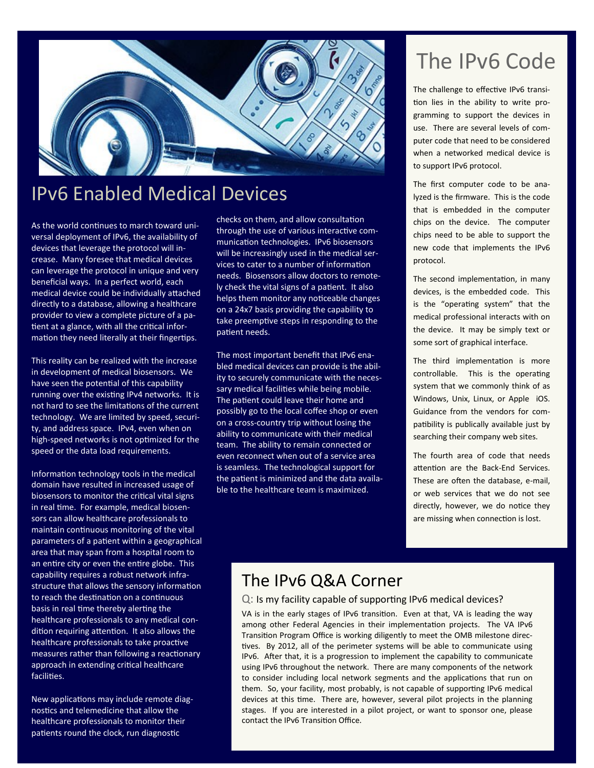

# IPv6 Enabled Medical Devices

As the world continues to march toward universal deployment of IPv6, the availability of devices that leverage the protocol will increase. Many foresee that medical devices can leverage the protocol in unique and very beneficial ways. In a perfect world, each medical device could be individually attached directly to a database, allowing a healthcare provider to view a complete picture of a patient at a glance, with all the critical information they need literally at their fingertips.

This reality can be realized with the increase in development of medical biosensors. We have seen the potential of this capability running over the existing IPv4 networks. It is not hard to see the limitations of the current technology. We are limited by speed, security, and address space. IPv4, even when on high-speed networks is not optimized for the speed or the data load requirements.

Information technology tools in the medical domain have resulted in increased usage of biosensors to monitor the critical vital signs in real time. For example, medical biosensors can allow healthcare professionals to maintain continuous monitoring of the vital parameters of a patient within a geographical area that may span from a hospital room to an entire city or even the entire globe. This capability requires a robust network infrastructure that allows the sensory information to reach the destination on a continuous basis in real time thereby alerting the healthcare professionals to any medical condition requiring attention. It also allows the healthcare professionals to take proactive measures rather than following a reactionary approach in extending critical healthcare facilities.

New applications may include remote diagnostics and telemedicine that allow the healthcare professionals to monitor their patients round the clock, run diagnostic

checks on them, and allow consultation through the use of various interactive communication technologies. IPv6 biosensors will be increasingly used in the medical services to cater to a number of information needs. Biosensors allow doctors to remotely check the vital signs of a patient. It also helps them monitor any noticeable changes on a 24x7 basis providing the capability to take preemptive steps in responding to the patient needs.

The most important benefit that IPv6 enabled medical devices can provide is the ability to securely communicate with the necessary medical facilities while being mobile. The patient could leave their home and possibly go to the local coffee shop or even on a cross-country trip without losing the ability to communicate with their medical team. The ability to remain connected or even reconnect when out of a service area is seamless. The technological support for the patient is minimized and the data available to the healthcare team is maximized.

# The IPv6 Code

The challenge to effective IPv6 transition lies in the ability to write programming to support the devices in use. There are several levels of computer code that need to be considered when a networked medical device is to support IPv6 protocol.

The first computer code to be analyzed is the firmware. This is the code that is embedded in the computer chips on the device. The computer chips need to be able to support the new code that implements the IPv6 protocol.

The second implementation, in many devices, is the embedded code. This is the "operating system" that the medical professional interacts with on the device. It may be simply text or some sort of graphical interface.

The third implementation is more controllable. This is the operating system that we commonly think of as Windows, Unix, Linux, or Apple iOS. Guidance from the vendors for compatibility is publically available just by searching their company web sites.

The fourth area of code that needs attention are the Back-End Services. These are often the database, e-mail, or web services that we do not see directly, however, we do notice they are missing when connection is lost.

# The IPv6 Q&A Corner

### Q: Is my facility capable of supporting IPv6 medical devices?

VA is in the early stages of IPv6 transition. Even at that, VA is leading the way among other Federal Agencies in their implementation projects. The VA IPv6 Transition Program Office is working diligently to meet the OMB milestone directives. By 2012, all of the perimeter systems will be able to communicate using IPv6. After that, it is a progression to implement the capability to communicate using IPv6 throughout the network. There are many components of the network to consider including local network segments and the applications that run on them. So, your facility, most probably, is not capable of supporting IPv6 medical devices at this time. There are, however, several pilot projects in the planning stages. If you are interested in a pilot project, or want to sponsor one, please contact the IPv6 Transition Office.